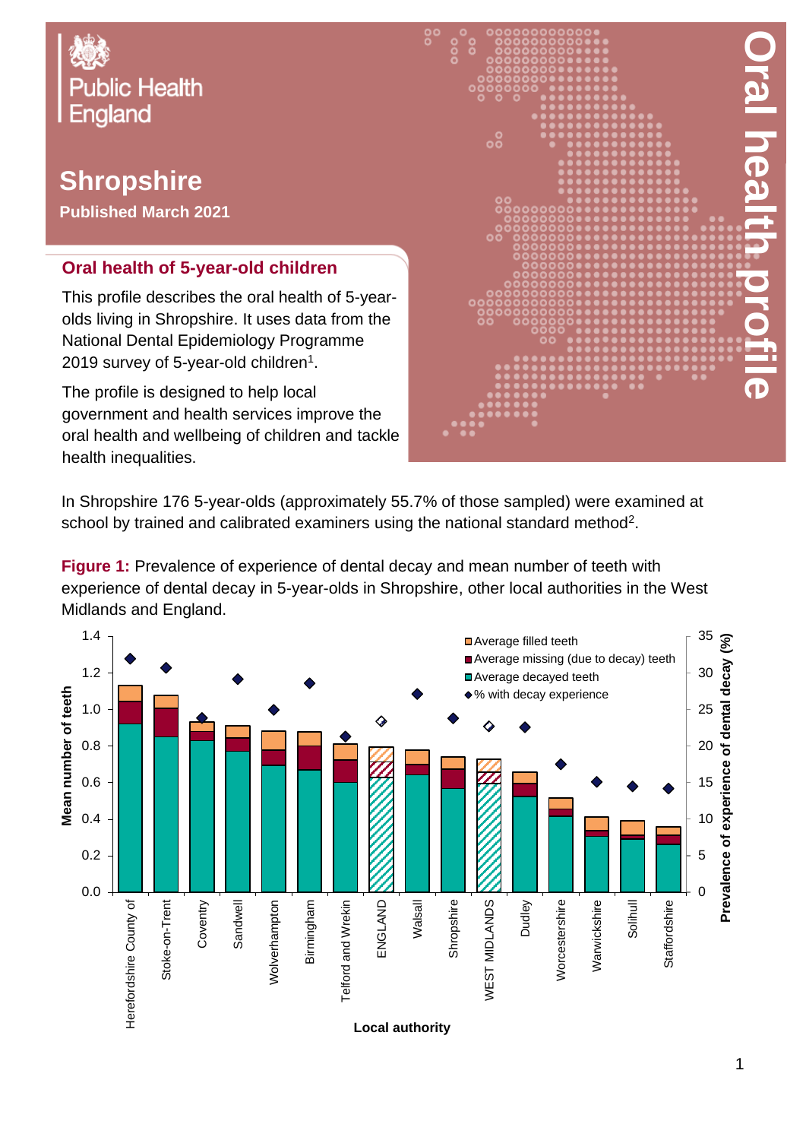

## **Shropshire**

**Published March 2021**

## **Oral health of 5-year-old children**

This profile describes the oral health of 5-yearolds living in Shropshire. It uses data from the National Dental Epidemiology Programme 2019 survey of 5-year-old children $^{\rm 1}.$ 

The profile is designed to help local government and health services improve the oral health and wellbeing of children and tackle health inequalities.



In Shropshire 176 5-year-olds (approximately 55.7% of those sampled) were examined at school by trained and calibrated examiners using the national standard method<sup>2</sup>.

**Figure 1:** Prevalence of experience of dental decay and mean number of teeth with experience of dental decay in 5-year-olds in Shropshire, other local authorities in the West Midlands and England.

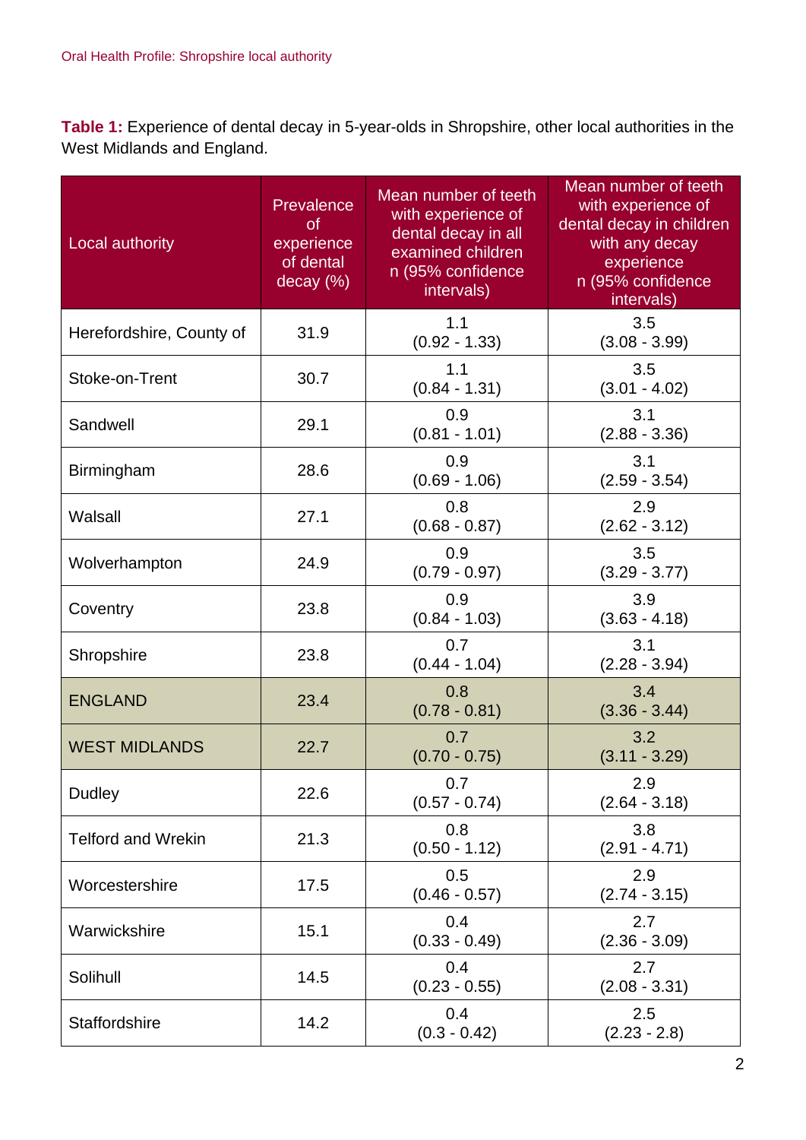**Table 1:** Experience of dental decay in 5-year-olds in Shropshire, other local authorities in the West Midlands and England.

| Local authority           | Prevalence<br><b>of</b><br>experience<br>of dental<br>decay (%) | Mean number of teeth<br>with experience of<br>dental decay in all<br>examined children<br>n (95% confidence<br>intervals) | Mean number of teeth<br>with experience of<br>dental decay in children<br>with any decay<br>experience<br>n (95% confidence<br>intervals) |
|---------------------------|-----------------------------------------------------------------|---------------------------------------------------------------------------------------------------------------------------|-------------------------------------------------------------------------------------------------------------------------------------------|
| Herefordshire, County of  | 31.9                                                            | 1.1<br>$(0.92 - 1.33)$                                                                                                    | 3.5<br>$(3.08 - 3.99)$                                                                                                                    |
| Stoke-on-Trent            | 30.7                                                            | 1.1<br>$(0.84 - 1.31)$                                                                                                    | 3.5<br>$(3.01 - 4.02)$                                                                                                                    |
| Sandwell                  | 29.1                                                            | 0.9<br>$(0.81 - 1.01)$                                                                                                    | 3.1<br>$(2.88 - 3.36)$                                                                                                                    |
| Birmingham                | 28.6                                                            | 0.9<br>$(0.69 - 1.06)$                                                                                                    | 3.1<br>$(2.59 - 3.54)$                                                                                                                    |
| Walsall                   | 27.1                                                            | 0.8<br>$(0.68 - 0.87)$                                                                                                    | 2.9<br>$(2.62 - 3.12)$                                                                                                                    |
| Wolverhampton             | 24.9                                                            | 0.9<br>$(0.79 - 0.97)$                                                                                                    | 3.5<br>$(3.29 - 3.77)$                                                                                                                    |
| Coventry                  | 23.8                                                            | 0.9<br>$(0.84 - 1.03)$                                                                                                    | 3.9<br>$(3.63 - 4.18)$                                                                                                                    |
| Shropshire                | 23.8                                                            | 0.7<br>$(0.44 - 1.04)$                                                                                                    | 3.1<br>$(2.28 - 3.94)$                                                                                                                    |
| <b>ENGLAND</b>            | 23.4                                                            | 0.8<br>$(0.78 - 0.81)$                                                                                                    | 3.4<br>$(3.36 - 3.44)$                                                                                                                    |
| <b>WEST MIDLANDS</b>      | 22.7                                                            | 0.7<br>$(0.70 - 0.75)$                                                                                                    | 3.2<br>$(3.11 - 3.29)$                                                                                                                    |
| <b>Dudley</b>             | 22.6                                                            | 0.7<br>$(0.57 - 0.74)$                                                                                                    | 2.9<br>$(2.64 - 3.18)$                                                                                                                    |
| <b>Telford and Wrekin</b> | 21.3                                                            | 0.8<br>$(0.50 - 1.12)$                                                                                                    | 3.8<br>$(2.91 - 4.71)$                                                                                                                    |
| Worcestershire            | 17.5                                                            | 0.5<br>$(0.46 - 0.57)$                                                                                                    | 2.9<br>$(2.74 - 3.15)$                                                                                                                    |
| Warwickshire              | 15.1                                                            | 0.4<br>$(0.33 - 0.49)$                                                                                                    | 2.7<br>$(2.36 - 3.09)$                                                                                                                    |
| Solihull                  | 14.5                                                            | 0.4<br>$(0.23 - 0.55)$                                                                                                    | 2.7<br>$(2.08 - 3.31)$                                                                                                                    |
| Staffordshire             | 14.2                                                            | 0.4<br>$(0.3 - 0.42)$                                                                                                     | 2.5<br>$(2.23 - 2.8)$                                                                                                                     |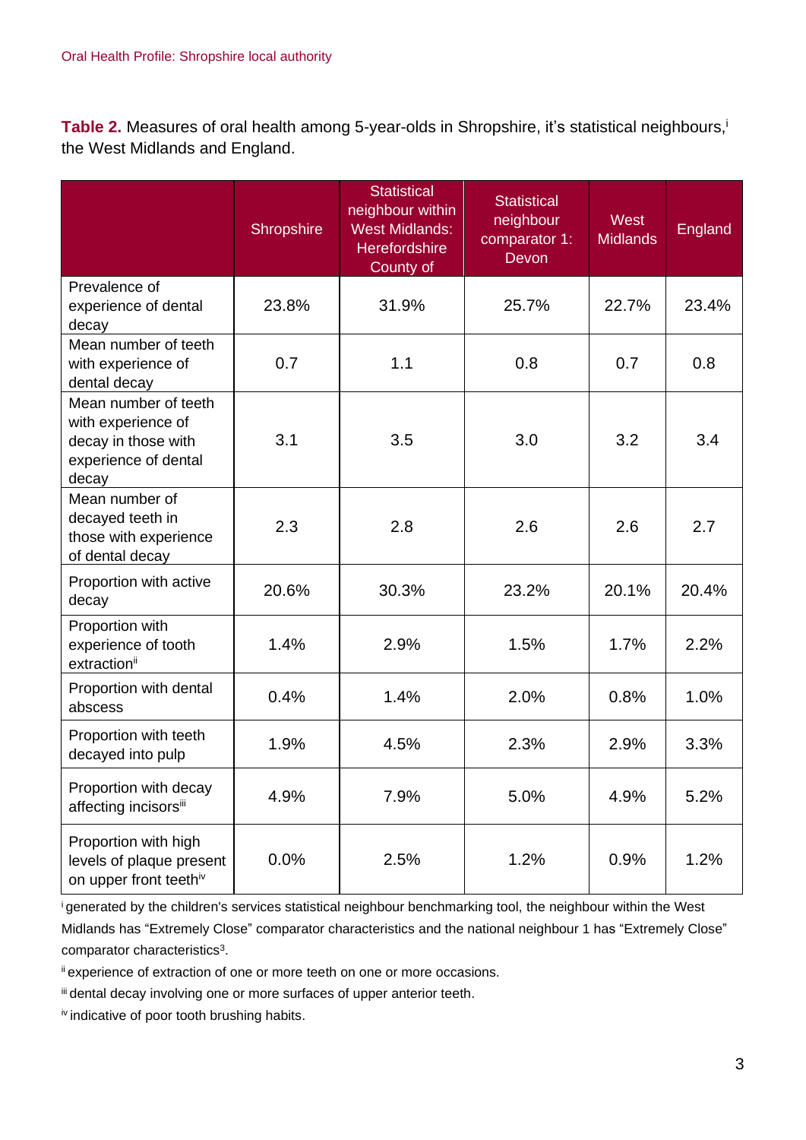**Table 2.** Measures of oral health among 5-year-olds in Shropshire, it's statistical neighbours, i the West Midlands and England.

|                                                                                                    | Shropshire | <b>Statistical</b><br>neighbour within<br><b>West Midlands:</b><br><b>Herefordshire</b><br>County of | <b>Statistical</b><br>neighbour<br>comparator 1:<br>Devon | West<br><b>Midlands</b> | England |
|----------------------------------------------------------------------------------------------------|------------|------------------------------------------------------------------------------------------------------|-----------------------------------------------------------|-------------------------|---------|
| Prevalence of<br>experience of dental<br>decay                                                     | 23.8%      | 31.9%                                                                                                | 25.7%                                                     | 22.7%                   | 23.4%   |
| Mean number of teeth<br>with experience of<br>dental decay                                         | 0.7        | 1.1                                                                                                  | 0.8                                                       | 0.7                     | 0.8     |
| Mean number of teeth<br>with experience of<br>decay in those with<br>experience of dental<br>decay | 3.1        | 3.5                                                                                                  | 3.0                                                       | 3.2                     | 3.4     |
| Mean number of<br>decayed teeth in<br>those with experience<br>of dental decay                     | 2.3        | 2.8                                                                                                  | 2.6                                                       | 2.6                     | 2.7     |
| Proportion with active<br>decay                                                                    | 20.6%      | 30.3%                                                                                                | 23.2%                                                     | 20.1%                   | 20.4%   |
| Proportion with<br>experience of tooth<br>extraction <sup>ii</sup>                                 | 1.4%       | 2.9%                                                                                                 | 1.5%                                                      | 1.7%                    | 2.2%    |
| Proportion with dental<br>abscess                                                                  | 0.4%       | 1.4%                                                                                                 | 2.0%                                                      | 0.8%                    | 1.0%    |
| Proportion with teeth<br>decayed into pulp                                                         | 1.9%       | 4.5%                                                                                                 | 2.3%                                                      | 2.9%                    | 3.3%    |
| Proportion with decay<br>affecting incisorsiii                                                     | 4.9%       | 7.9%                                                                                                 | 5.0%                                                      | 4.9%                    | 5.2%    |
| Proportion with high<br>levels of plaque present<br>on upper front teethiv                         | 0.0%       | 2.5%                                                                                                 | 1.2%                                                      | 0.9%                    | 1.2%    |

<sup>i</sup>generated by the children's services statistical neighbour benchmarking tool, the neighbour within the West Midlands has "Extremely Close" comparator characteristics and the national neighbour 1 has "Extremely Close" comparator characteristics<sup>3</sup>.

ii experience of extraction of one or more teeth on one or more occasions.

iii dental decay involving one or more surfaces of upper anterior teeth.

iv indicative of poor tooth brushing habits.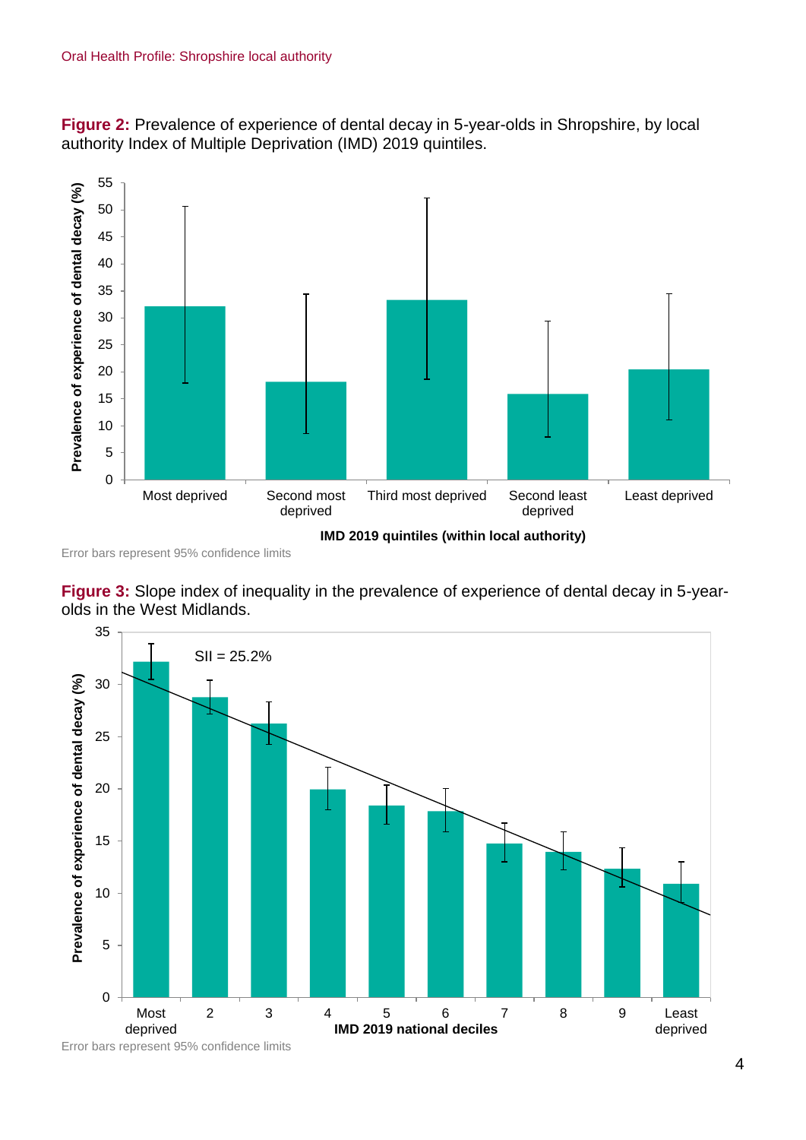**Figure 2:** Prevalence of experience of dental decay in 5-year-olds in Shropshire, by local authority Index of Multiple Deprivation (IMD) 2019 quintiles.



Error bars represent 95% confidence limits

**Figure 3:** Slope index of inequality in the prevalence of experience of dental decay in 5-yearolds in the West Midlands.



Error bars represent 95% confidence limits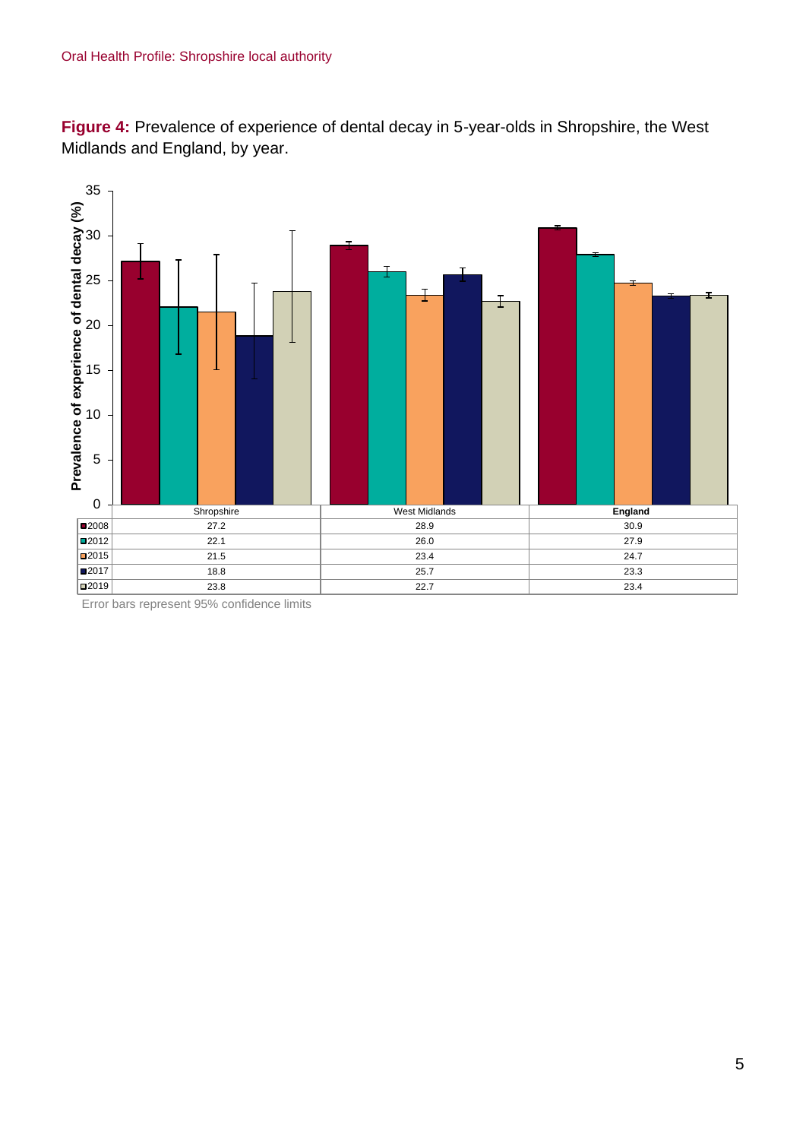**Figure 4:** Prevalence of experience of dental decay in 5-year-olds in Shropshire, the West Midlands and England, by year.



Error bars represent 95% confidence limits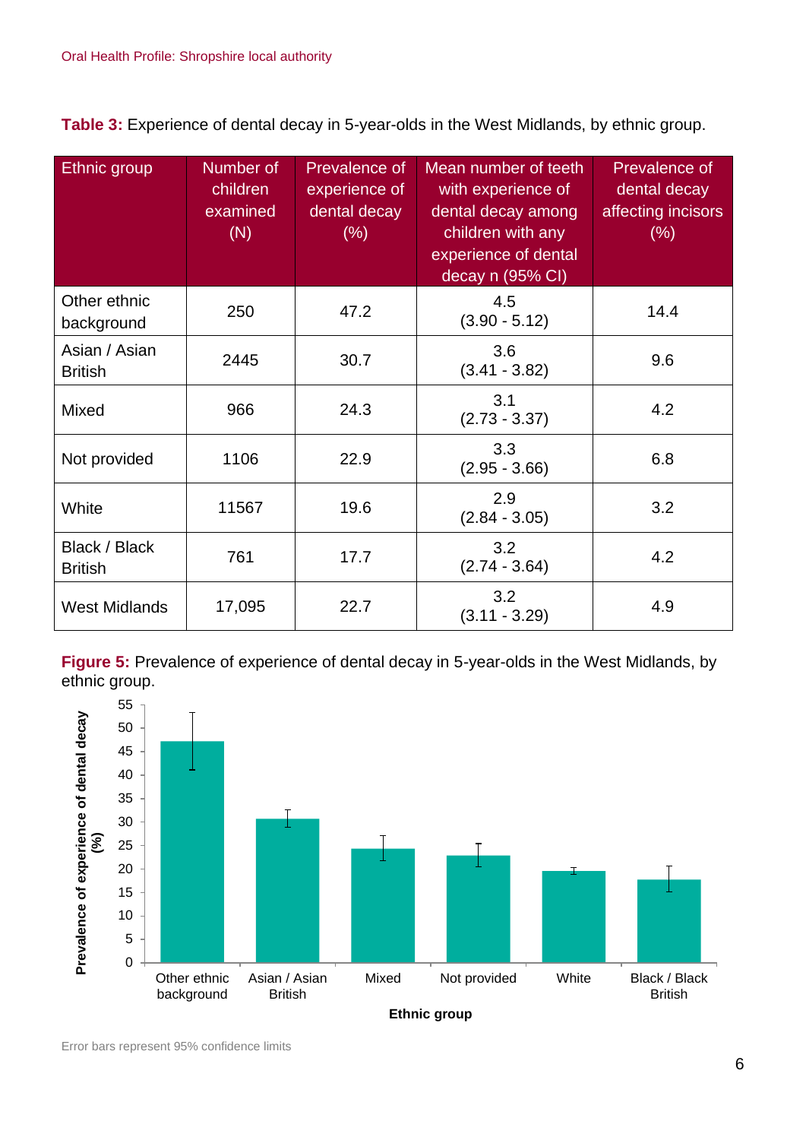**Table 3:** Experience of dental decay in 5-year-olds in the West Midlands, by ethnic group.

| <b>Ethnic group</b>             | Number of<br>children<br>examined<br>(N) | Prevalence of<br>experience of<br>dental decay<br>(% ) | Mean number of teeth<br>with experience of<br>dental decay among<br>children with any<br>experience of dental<br>decay n (95% CI) | Prevalence of<br>dental decay<br>affecting incisors<br>(% ) |
|---------------------------------|------------------------------------------|--------------------------------------------------------|-----------------------------------------------------------------------------------------------------------------------------------|-------------------------------------------------------------|
| Other ethnic<br>background      | 250                                      | 47.2                                                   | 4.5<br>$(3.90 - 5.12)$                                                                                                            | 14.4                                                        |
| Asian / Asian<br><b>British</b> | 2445                                     | 30.7                                                   | 3.6<br>$(3.41 - 3.82)$                                                                                                            | 9.6                                                         |
| Mixed                           | 966                                      | 24.3                                                   | 3.1<br>$(2.73 - 3.37)$                                                                                                            | 4.2                                                         |
| Not provided                    | 1106                                     | 22.9                                                   | 3.3<br>$(2.95 - 3.66)$                                                                                                            | 6.8                                                         |
| White                           | 11567                                    | 19.6                                                   | 2.9<br>$(2.84 - 3.05)$                                                                                                            | 3.2                                                         |
| Black / Black<br><b>British</b> | 761                                      | 17.7                                                   | 3.2<br>$(2.74 - 3.64)$                                                                                                            | 4.2                                                         |
| <b>West Midlands</b>            | 17,095                                   | 22.7                                                   | 3.2<br>$(3.11 - 3.29)$                                                                                                            | 4.9                                                         |

**Figure 5:** Prevalence of experience of dental decay in 5-year-olds in the West Midlands, by ethnic group.

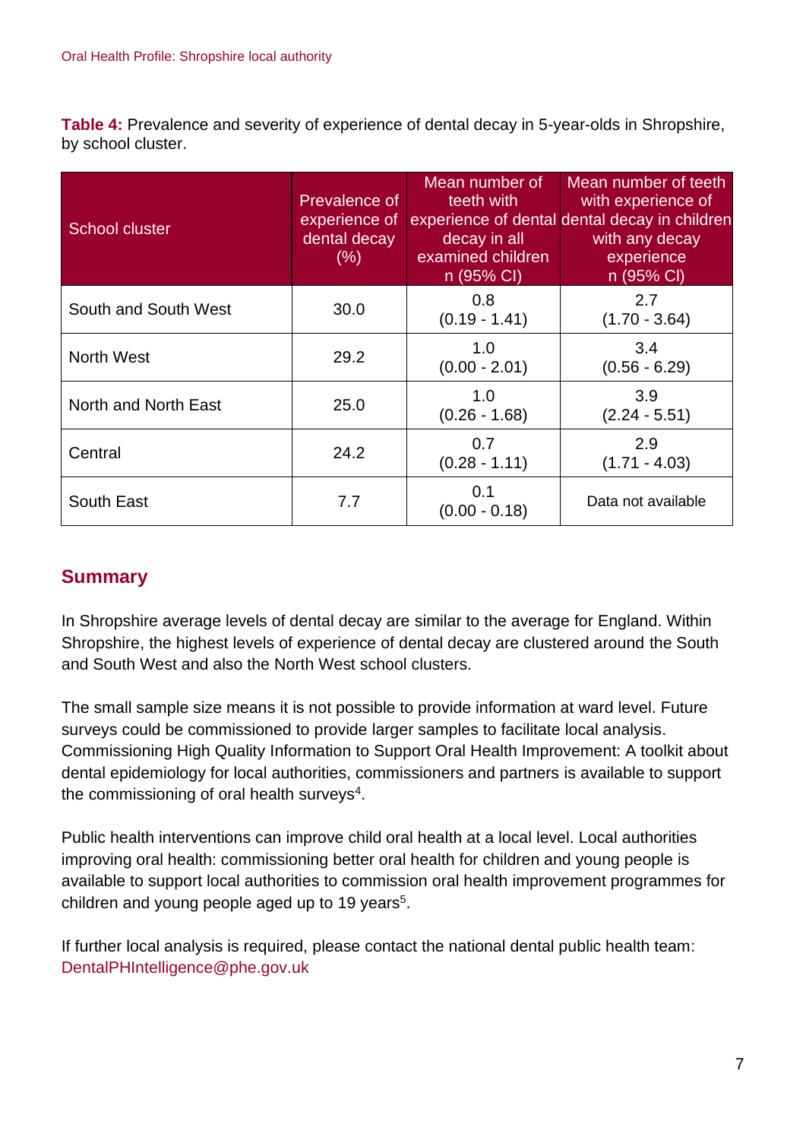**Table 4:** Prevalence and severity of experience of dental decay in 5-year-olds in Shropshire, by school cluster.

| <b>School cluster</b> | Prevalence of<br>experience of<br>dental decay<br>(% ) | Mean number of<br>teeth with<br>decay in all<br>examined children<br>n (95% CI) | Mean number of teeth<br>with experience of<br>experience of dental dental decay in children<br>with any decay<br>experience<br>n (95% CI) |
|-----------------------|--------------------------------------------------------|---------------------------------------------------------------------------------|-------------------------------------------------------------------------------------------------------------------------------------------|
| South and South West  | 30.0                                                   | 0.8<br>$(0.19 - 1.41)$                                                          | 2.7<br>$(1.70 - 3.64)$                                                                                                                    |
| <b>North West</b>     | 29.2                                                   | 1.0<br>$(0.00 - 2.01)$                                                          | 3.4<br>$(0.56 - 6.29)$                                                                                                                    |
| North and North East  | 25.0                                                   | 1.0<br>$(0.26 - 1.68)$                                                          | 3.9<br>$(2.24 - 5.51)$                                                                                                                    |
| Central               | 24.2                                                   | 0.7<br>$(0.28 - 1.11)$                                                          | 2.9<br>$(1.71 - 4.03)$                                                                                                                    |
| South East            | 7.7                                                    | 0.1<br>$(0.00 - 0.18)$                                                          | Data not available                                                                                                                        |

## **Summary**

In Shropshire average levels of dental decay are similar to the average for England. Within Shropshire, the highest levels of experience of dental decay are clustered around the South and South West and also the North West school clusters.

The small sample size means it is not possible to provide information at ward level. Future surveys could be commissioned to provide larger samples to facilitate local analysis. Commissioning High Quality Information to Support Oral Health Improvement: A toolkit about dental epidemiology for local authorities, commissioners and partners is available to support the commissioning of oral health surveys<sup>4</sup>.

Public health interventions can improve child oral health at a local level. Local authorities improving oral health: commissioning better oral health for children and young people is available to support local authorities to commission oral health improvement programmes for children and young people aged up to 19 years<sup>5</sup>.

If further local analysis is required, please contact the national dental public health team: DentalPHIntelligence@phe.gov.uk